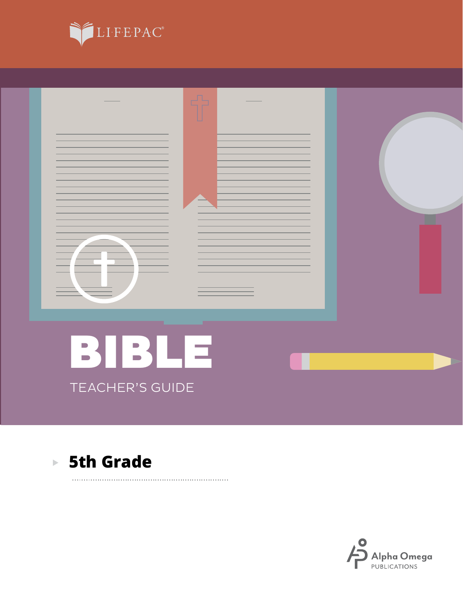





### **5th Grade**

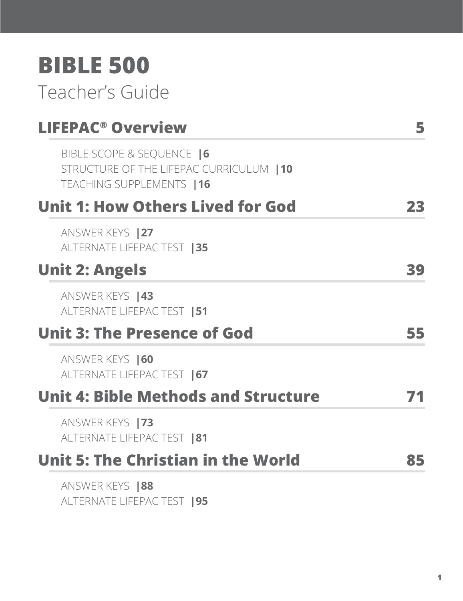## **BIBLE 500**

### Teacher's Guide

| <b>LIFEPAC<sup>®</sup> Overview</b>                                                                | 5  |
|----------------------------------------------------------------------------------------------------|----|
| BIBLE SCOPE & SEQUENCE  6<br>STRUCTURE OF THE LIFEPAC CURRICULUM   10<br>TEACHING SUPPLEMENTS   16 |    |
| <b>Unit 1: How Others Lived for God</b>                                                            | 23 |
| ANSWER KEYS   27<br>ALTERNATE LIFEPAC TEST   35                                                    |    |
| <b>Unit 2: Angels</b>                                                                              | 39 |
| ANSWER KEYS   43<br>ALTERNATE LIFEPAC TEST   51                                                    |    |
| <b>Unit 3: The Presence of God</b>                                                                 | 55 |
| ANSWER KEYS   60<br>ALTERNATE LIFEPAC TEST   67                                                    |    |
| <b>Unit 4: Bible Methods and Structure</b>                                                         |    |
| ANSWER KEYS   73<br>ALTERNATE LIFEPAC TEST   81                                                    |    |
| <b>Unit 5: The Christian in the World</b>                                                          | 85 |
| ANSWER KEYS   88<br>ALTERNATE LIFEPAC TEST   95                                                    |    |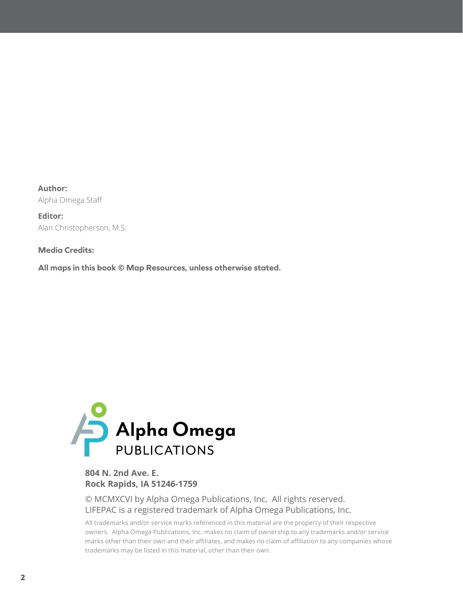**Author:** Alpha Omega Staff

**Editor:** Alan Christopherson, M.S.

**Media Credits:**

**All maps in this book © Map Resources, unless otherwise stated.**



#### **804 N. 2nd Ave. E. Rock Rapids, IA 51246-1759**

© MCMXCVI by Alpha Omega Publications, Inc. All rights reserved. LIFEPAC is a registered trademark of Alpha Omega Publications, Inc.

All trademarks and/or service marks referenced in this material are the property of their respective owners. Alpha Omega Publications, Inc. makes no claim of ownership to any trademarks and/or service marks other than their own and their affiliates, and makes no claim of affiliation to any companies whose trademarks may be listed in this material, other than their own.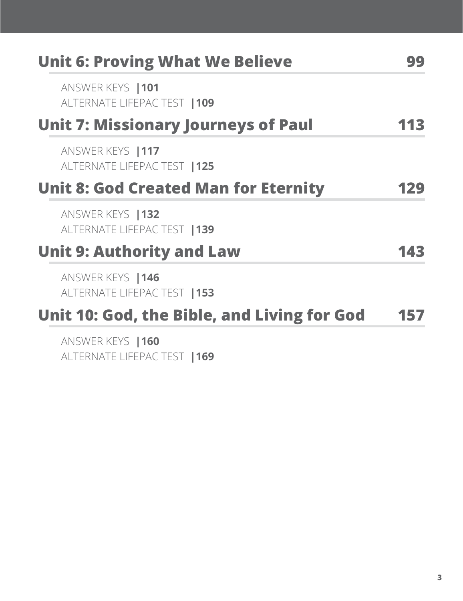| <b>Unit 6: Proving What We Believe</b>            |     |
|---------------------------------------------------|-----|
| ANSWER KEYS   101<br>ALTERNATE LIFEPAC TEST   109 |     |
| <b>Unit 7: Missionary Journeys of Paul</b>        |     |
| ANSWER KEYS   117<br>ALTERNATE LIFEPAC TEST   125 |     |
| <b>Unit 8: God Created Man for Eternity</b>       | 129 |
| ANSWER KEYS   132<br>ALTERNATE LIFEPAC TEST   139 |     |
| <b>Unit 9: Authority and Law</b>                  | 143 |
| ANSWER KEYS   146<br>ALTERNATE LIFEPAC TEST   153 |     |
| Unit 10: God, the Bible, and Living for God       | 157 |
| ANSWER KEYS   160<br>ALTERNATE LIFEPAC TEST   169 |     |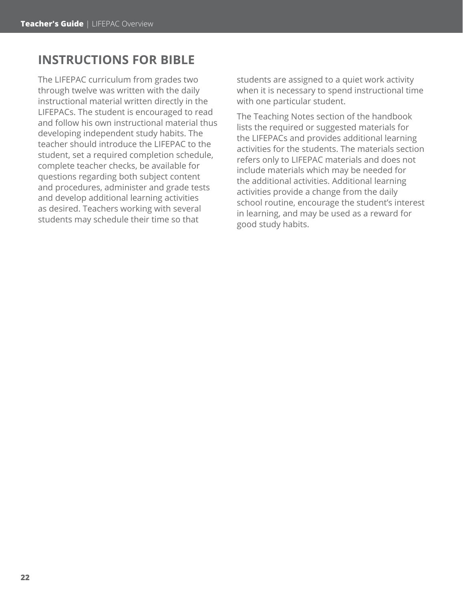### **INSTRUCTIONS FOR BIBLE**

The LIFEPAC curriculum from grades two through twelve was written with the daily instructional material written directly in the LIFEPACs. The student is encouraged to read and follow his own instructional material thus developing independent study habits. The teacher should introduce the LIFEPAC to the student, set a required completion schedule, complete teacher checks, be available for questions regarding both subject content and procedures, administer and grade tests and develop additional learning activities as desired. Teachers working with several students may schedule their time so that

students are assigned to a quiet work activity when it is necessary to spend instructional time with one particular student.

The Teaching Notes section of the handbook lists the required or suggested materials for the LIFEPACs and provides additional learning activities for the students. The materials section refers only to LIFEPAC materials and does not include materials which may be needed for the additional activities. Additional learning activities provide a change from the daily school routine, encourage the student's interest in learning, and may be used as a reward for good study habits.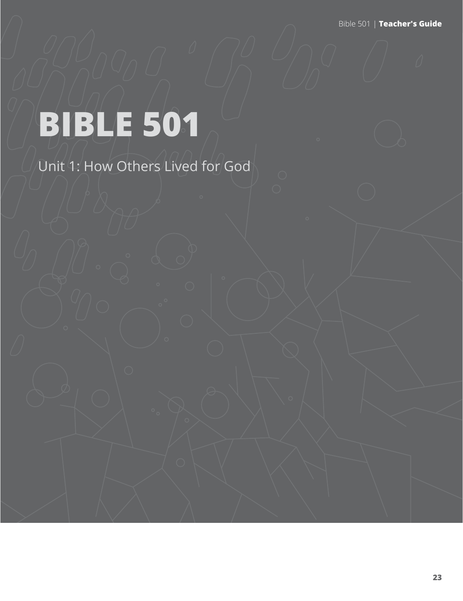Bible 501 | **Teacher's Guide**

# **BIBLE 501**

Unit 1: How Others Lived for God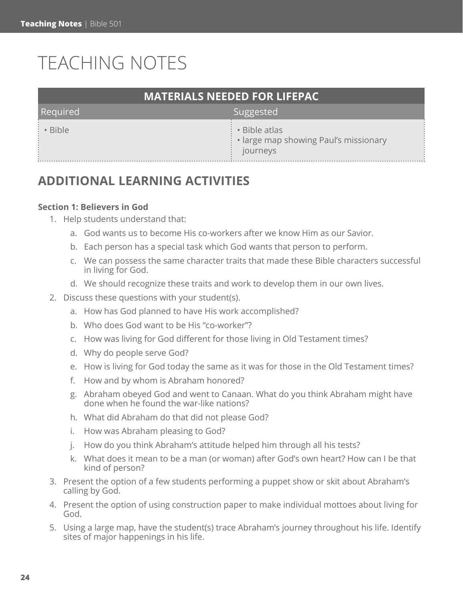### TEACHING NOTES

| <b>MATERIALS NEEDED FOR LIFEPAC</b> |                                                                                |  |  |
|-------------------------------------|--------------------------------------------------------------------------------|--|--|
| Required                            | Suggested                                                                      |  |  |
| : • Bible                           | $\cdot \cdot$ Bible atlas<br>• large map showing Paul's missionary<br>journeys |  |  |

### **ADDITIONAL LEARNING ACTIVITIES**

#### **Section 1: Believers in God**

- 1. Help students understand that:
	- a. God wants us to become His co-workers after we know Him as our Savior.
	- b. Each person has a special task which God wants that person to perform.
	- c. We can possess the same character traits that made these Bible characters successful in living for God.
	- d. We should recognize these traits and work to develop them in our own lives.
- 2. Discuss these questions with your student(s).
	- a. How has God planned to have His work accomplished?
	- b. Who does God want to be His "co-worker"?
	- c. How was living for God different for those living in Old Testament times?
	- d. Why do people serve God?
	- e. How is living for God today the same as it was for those in the Old Testament times?
	- f. How and by whom is Abraham honored?
	- g. Abraham obeyed God and went to Canaan. What do you think Abraham might have done when he found the war-like nations?
	- h. What did Abraham do that did not please God?
	- i. How was Abraham pleasing to God?
	- j. How do you think Abraham's attitude helped him through all his tests?
	- k. What does it mean to be a man (or woman) after God's own heart? How can I be that kind of person?
- 3. Present the option of a few students performing a puppet show or skit about Abraham's calling by God.
- 4. Present the option of using construction paper to make individual mottoes about living for God.
- 5. Using a large map, have the student(s) trace Abraham's journey throughout his life. Identify sites of major happenings in his life.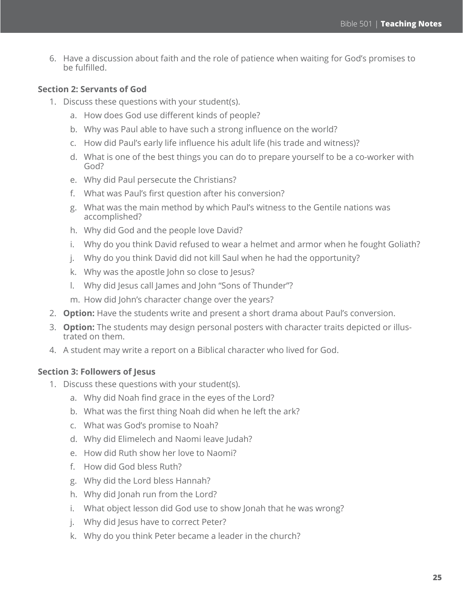6. Have a discussion about faith and the role of patience when waiting for God's promises to be fulfilled.

#### **Section 2: Servants of God**

- 1. Discuss these questions with your student(s).
	- a. How does God use different kinds of people?
	- b. Why was Paul able to have such a strong influence on the world?
	- c. How did Paul's early life influence his adult life (his trade and witness)?
	- d. What is one of the best things you can do to prepare yourself to be a co-worker with God?
	- e. Why did Paul persecute the Christians?
	- f. What was Paul's first question after his conversion?
	- g. What was the main method by which Paul's witness to the Gentile nations was accomplished?
	- h. Why did God and the people love David?
	- i. Why do you think David refused to wear a helmet and armor when he fought Goliath?
	- j. Why do you think David did not kill Saul when he had the opportunity?
	- k. Why was the apostle John so close to Jesus?
	- l. Why did Jesus call James and John "Sons of Thunder"?
	- m. How did John's character change over the years?
- 2. **Option:** Have the students write and present a short drama about Paul's conversion.
- 3. **Option:** The students may design personal posters with character traits depicted or illustrated on them.
- 4. A student may write a report on a Biblical character who lived for God.

#### **Section 3: Followers of Jesus**

- 1. Discuss these questions with your student(s).
	- a. Why did Noah find grace in the eyes of the Lord?
	- b. What was the first thing Noah did when he left the ark?
	- c. What was God's promise to Noah?
	- d. Why did Elimelech and Naomi leave Judah?
	- e. How did Ruth show her love to Naomi?
	- f. How did God bless Ruth?
	- g. Why did the Lord bless Hannah?
	- h. Why did Jonah run from the Lord?
	- i. What object lesson did God use to show Jonah that he was wrong?
	- j. Why did Jesus have to correct Peter?
	- k. Why do you think Peter became a leader in the church?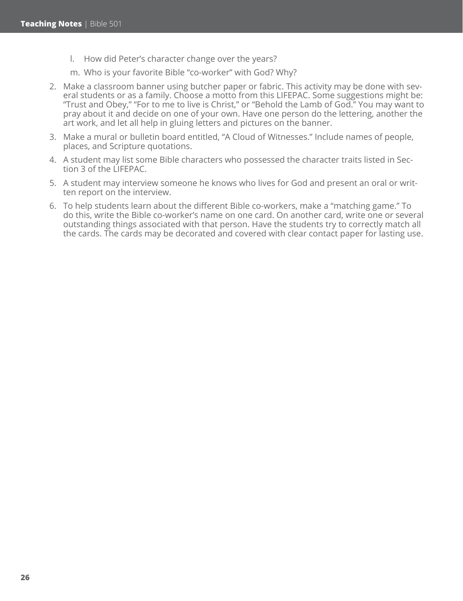- l. How did Peter's character change over the years?
- m. Who is your favorite Bible "co-worker" with God? Why?
- 2. Make a classroom banner using butcher paper or fabric. This activity may be done with several students or as a family. Choose a motto from this LIFEPAC. Some suggestions might be: "Trust and Obey," "For to me to live is Christ," or "Behold the Lamb of God." You may want to pray about it and decide on one of your own. Have one person do the lettering, another the art work, and let all help in gluing letters and pictures on the banner.
- 3. Make a mural or bulletin board entitled, "A Cloud of Witnesses." Include names of people, places, and Scripture quotations.
- 4. A student may list some Bible characters who possessed the character traits listed in Section 3 of the LIFEPAC.
- 5. A student may interview someone he knows who lives for God and present an oral or written report on the interview.
- 6. To help students learn about the different Bible co-workers, make a "matching game." To do this, write the Bible co-worker's name on one card. On another card, write one or several outstanding things associated with that person. Have the students try to correctly match all the cards. The cards may be decorated and covered with clear contact paper for lasting use.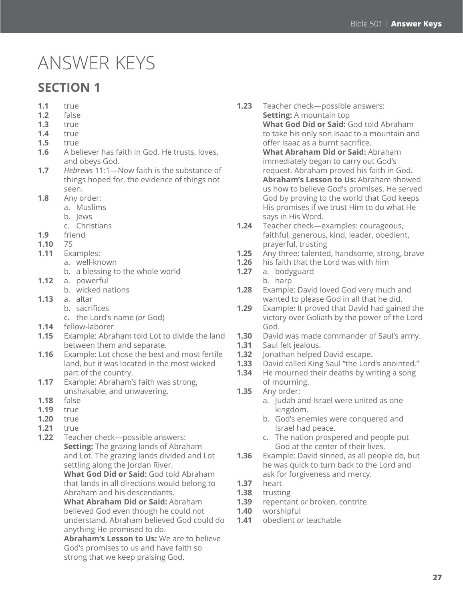### ANSWER KEYS

### **SECTION 1**

- **1.1** true
- **1.2** false
- **1.3** true
- **1.4** true
- **1.5** true
- **1.6** A believer has faith in God. He trusts, loves, and obeys God.
- **1.7** *Hebrews* 11:1—Now faith is the substance of things hoped for, the evidence of things not seen.
- **1.8** Any order:
	- a. Muslims
	- b. Jews
	- c. Christians
- **1.9** friend
- **1.10** 75
- **1.11** Examples:
	- a. well-known
		- b. a blessing to the whole world
- **1.12** a. powerful
	- b. wicked nations
- **1.13** a. altar
	- b. sacrifices
		- c. the Lord's name (*or* God)
- **1.14** fellow-laborer
- **1.15** Example: Abraham told Lot to divide the land between them and separate.
- **1.16** Example: Lot chose the best and most fertile land, but it was located in the most wicked part of the country.
- **1.17** Example: Abraham's faith was strong, unshakable, and unwavering.
- **1.18** false
- **1.19** true
- **1.20** true
- **1.21** true
- **1.22** Teacher check—possible answers: **Setting:** The grazing lands of Abraham and Lot. The grazing lands divided and Lot settling along the Jordan River.

**What God Did or Said:** God told Abraham that lands in all directions would belong to Abraham and his descendants.

**What Abraham Did or Said:** Abraham believed God even though he could not understand. Abraham believed God could do anything He promised to do.

**Abraham's Lesson to Us:** We are to believe God's promises to us and have faith so strong that we keep praising God.

- **1.23** Teacher check—possible answers: **Setting:** A mountain top **What God Did or Said:** God told Abraham to take his only son Isaac to a mountain and offer Isaac as a burnt sacrifice. **What Abraham Did or Said:** Abraham immediately began to carry out God's request. Abraham proved his faith in God. **Abraham's Lesson to Us:** Abraham showed us how to believe God's promises. He served God by proving to the world that God keeps His promises if we trust Him to do what He says in His Word.
- **1.24** Teacher check—examples: courageous, faithful, generous, kind, leader, obedient, prayerful, trusting
- **1.25** Any three: talented, handsome, strong, brave
- **1.26** his faith that the Lord was with him
- **1.27** a. bodyguard
	- b. harp
- **1.28** Example: David loved God very much and wanted to please God in all that he did.
- **1.29** Example: It proved that David had gained the victory over Goliath by the power of the Lord God.
- **1.30** David was made commander of Saul's army.
- **1.31** Saul felt jealous.
- **1.32** Jonathan helped David escape.
- **1.33** David called King Saul "the Lord's anointed."
- **1.34** He mourned their deaths by writing a song of mourning.
- **1.35** Any order:
	- a. Judah and Israel were united as one kingdom.
	- b. God's enemies were conquered and Israel had peace.
	- c. The nation prospered and people put God at the center of their lives.
- **1.36** Example: David sinned, as all people do, but he was quick to turn back to the Lord and ask for forgiveness and mercy.
- **1.37** heart
- **1.38** trusting
- **1.39** repentant *or* broken, contrite
- **1.40** worshipful
- **1.41** obedient *or* teachable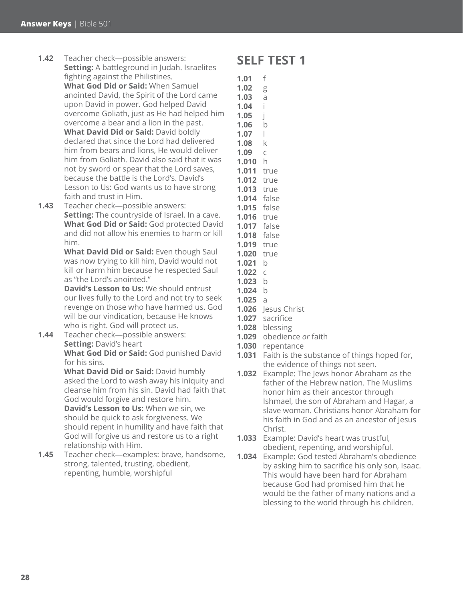- **1.42** Teacher check—possible answers: **Setting:** A battleground in Judah. Israelites fighting against the Philistines. **What God Did or Said:** When Samuel anointed David, the Spirit of the Lord came upon David in power. God helped David overcome Goliath, just as He had helped him overcome a bear and a lion in the past. **What David Did or Said:** David boldly declared that since the Lord had delivered him from bears and lions, He would deliver him from Goliath. David also said that it was not by sword or spear that the Lord saves, because the battle is the Lord's. David's Lesson to Us: God wants us to have strong faith and trust in Him.
- **1.43** Teacher check—possible answers: **Setting:** The countryside of Israel. In a cave. **What God Did or Said:** God protected David and did not allow his enemies to harm or kill him.

**What David Did or Said:** Even though Saul was now trying to kill him, David would not kill or harm him because he respected Saul as "the Lord's anointed."

**David's Lesson to Us:** We should entrust our lives fully to the Lord and not try to seek revenge on those who have harmed us. God will be our vindication, because He knows who is right. God will protect us.

**1.44** Teacher check—possible answers: **Setting:** David's heart **What God Did or Said:** God punished David for his sins.

> **What David Did or Said:** David humbly asked the Lord to wash away his iniquity and cleanse him from his sin. David had faith that God would forgive and restore him. **David's Lesson to Us:** When we sin, we

should be quick to ask forgiveness. We should repent in humility and have faith that God will forgive us and restore us to a right relationship with Him.

**1.45** Teacher check—examples: brave, handsome, strong, talented, trusting, obedient, repenting, humble, worshipful

### **SELF TEST 1**

- **1.01** f **1.02** g **1.03** a **1.04** i **1.05** j **1.06** b **1.07** l **1.08** k **1.09** c **1.010** h **1.011** true **1.012** true **1.013** true **1.014** false **1.015** false
- **1.016** true
- **1.017** false
- **1.018** false
- **1.019** true
- **1.020** true
- **1.021** b
- **1.022** c
- **1.023** b
- **1.024** b
- **1.025** a
- **1.026** Jesus Christ
- **1.027** sacrifice
- **1.028** blessing
- **1.029** obedience *or* faith
- **1.030** repentance
- **1.031** Faith is the substance of things hoped for, the evidence of things not seen.
- **1.032** Example: The Jews honor Abraham as the father of the Hebrew nation. The Muslims honor him as their ancestor through Ishmael, the son of Abraham and Hagar, a slave woman. Christians honor Abraham for his faith in God and as an ancestor of Jesus Christ.
- **1.033** Example: David's heart was trustful, obedient, repenting, and worshipful.
- **1.034** Example: God tested Abraham's obedience by asking him to sacrifice his only son, Isaac. This would have been hard for Abraham because God had promised him that he would be the father of many nations and a blessing to the world through his children.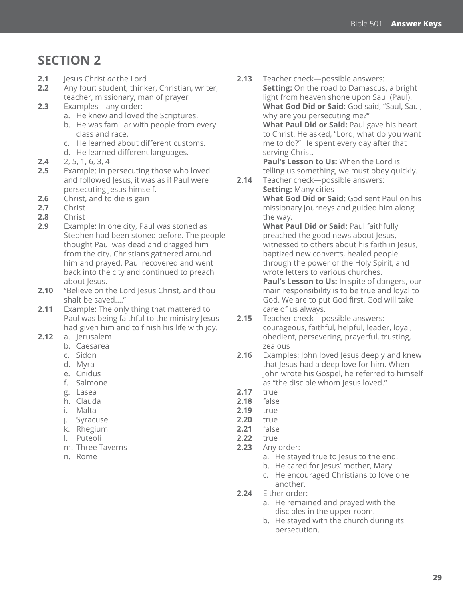### **SECTION 2**

- **2.1** Jesus Christ *or* the Lord
- **2.2** Any four: student, thinker, Christian, writer, teacher, missionary, man of prayer
- **2.3** Examples—any order:
	- a. He knew and loved the Scriptures.
	- b. He was familiar with people from every class and race.
	- c. He learned about different customs.
	- d. He learned different languages.
- **2.4** 2, 5, 1, 6, 3, 4
- **2.5** Example: In persecuting those who loved and followed Jesus, it was as if Paul were persecuting Jesus himself.
- **2.6** Christ, and to die is gain
- **2.7** Christ
- **2.8** Christ
- **2.9** Example: In one city, Paul was stoned as Stephen had been stoned before. The people thought Paul was dead and dragged him from the city. Christians gathered around him and prayed. Paul recovered and went back into the city and continued to preach about Jesus.
- **2.10** "Believe on the Lord Jesus Christ, and thou shalt be saved...."
- **2.11** Example: The only thing that mattered to Paul was being faithful to the ministry Jesus had given him and to finish his life with joy.
- **2.12** a. Jerusalem
	- b. Caesarea
	- c. Sidon
	- d. Myra
	- e. Cnidus
	- f. Salmone
	- g. Lasea
	- h. Clauda
	- i. Malta
	- j. Syracuse
	- k. Rhegium
	- l. Puteoli
	- m. Three Taverns
	- n. Rome

**2.13** Teacher check—possible answers: **Setting:** On the road to Damascus, a bright light from heaven shone upon Saul (Paul). **What God Did or Said:** God said, "Saul, Saul, why are you persecuting me?" **What Paul Did or Said:** Paul gave his heart to Christ. He asked, "Lord, what do you want me to do?" He spent every day after that serving Christ. **Paul's Lesson to Us:** When the Lord is

telling us something, we must obey quickly.

**2.14** Teacher check—possible answers: **Setting:** Many cities **What God Did or Said:** God sent Paul on his missionary journeys and guided him along the way.

**What Paul Did or Said:** Paul faithfully preached the good news about Jesus, witnessed to others about his faith in Jesus, baptized new converts, healed people through the power of the Holy Spirit, and wrote letters to various churches. **Paul's Lesson to Us:** In spite of dangers, our main responsibility is to be true and loyal to God. We are to put God first. God will take care of us always.

- **2.15** Teacher check—possible answers: courageous, faithful, helpful, leader, loyal, obedient, persevering, prayerful, trusting, zealous
- **2.16** Examples: John loved Jesus deeply and knew that Jesus had a deep love for him. When John wrote his Gospel, he referred to himself as "the disciple whom Jesus loved."
- **2.17** true
- **2.18** false
- **2.19** true
- **2.20** true
- **2.21** false
- **2.22** true
- **2.23** Any order:
	- a. He stayed true to Jesus to the end.
	- b. He cared for Jesus' mother, Mary.
	- c. He encouraged Christians to love one another.
- **2.24** Either order:
	- a. He remained and prayed with the disciples in the upper room.
	- b. He stayed with the church during its persecution.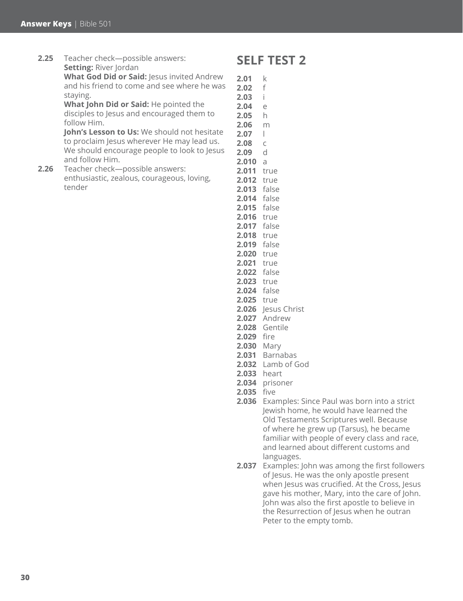tender

**2.25** Teacher check—possible answers: **Setting: River Jordan What God Did or Said:** Jesus invited Andrew and his friend to come and see where he was staying. **What John Did or Said:** He pointed the disciples to Jesus and encouraged them to follow Him. **John's Lesson to Us:** We should not hesitate to proclaim Jesus wherever He may lead us. We should encourage people to look to Jesus and follow Him. **2.26** Teacher check—possible answers: enthusiastic, zealous, courageous, loving,

### **SELF TEST 2**

- **2.01** k **2.02** f **2.03** i **2.04** e **2.05** h **2.06** m **2.07** l **2.08** c **2.09** d **2.010** a **2.011** true **2.012** true **2.013** false **2.014** false **2.015** false **2.016** true **2.017** false **2.018** true **2.019** false **2.020** true **2.021** true **2.022** false **2.023** true **2.024** false **2.025** true **2.026** Jesus Christ **2.027** Andrew **2.028** Gentile **2.029** fire **2.030** Mary **2.031** Barnabas **2.032** Lamb of God **2.033** heart
- **2.034** prisoner
- **2.035** five
- **2.036** Examples: Since Paul was born into a strict Jewish home, he would have learned the Old Testaments Scriptures well. Because of where he grew up (Tarsus), he became familiar with people of every class and race, and learned about different customs and languages.
- **2.037** Examples: John was among the first followers of Jesus. He was the only apostle present when Jesus was crucified. At the Cross, Jesus gave his mother, Mary, into the care of John. John was also the first apostle to believe in the Resurrection of Jesus when he outran Peter to the empty tomb.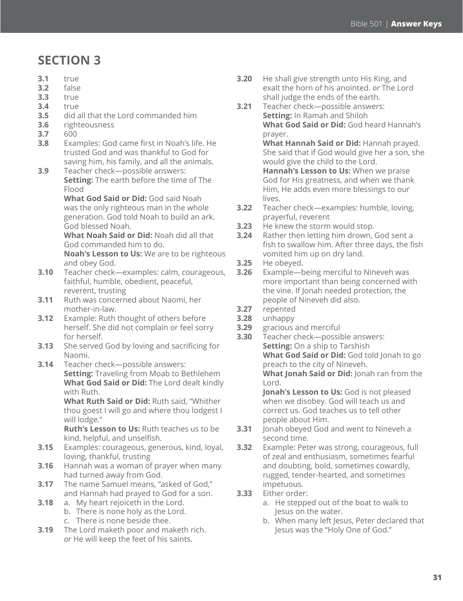### **SECTION 3**

- **3.1** true
- **3.2** false
- **3.3** true
- **3.4** true
- **3.5** did all that the Lord commanded him
- **3.6** righteousness
- **3.7** 600
- **3.8** Examples: God came first in Noah's life. He trusted God and was thankful to God for saving him, his family, and all the animals.
- **3.9** Teacher check—possible answers: **Setting:** The earth before the time of The Flood

**What God Said or Did:** God said Noah was the only righteous man in the whole generation. God told Noah to build an ark. God blessed Noah.

**What Noah Said or Did:** Noah did all that God commanded him to do.

**Noah's Lesson to Us:** We are to be righteous and obey God.

- **3.10** Teacher check—examples: calm, courageous, faithful, humble, obedient, peaceful, reverent, trusting
- **3.11** Ruth was concerned about Naomi, her mother-in-law.
- **3.12** Example: Ruth thought of others before herself. She did not complain or feel sorry for herself.
- **3.13** She served God by loving and sacrificing for Naomi.
- **3.14** Teacher check—possible answers: **Setting:** Traveling from Moab to Bethlehem **What God Said or Did:** The Lord dealt kindly with Ruth.

**What Ruth Said or Did:** Ruth said, "Whither thou goest I will go and where thou lodgest I will lodge."

**Ruth's Lesson to Us:** Ruth teaches us to be kind, helpful, and unselfish.

- **3.15** Examples: courageous, generous, kind, loyal, loving, thankful, trusting
- **3.16** Hannah was a woman of prayer when many had turned away from God.

**3.17** The name Samuel means, "asked of God," and Hannah had prayed to God for a son.

- **3.18** a. My heart rejoiceth in the Lord.
	- b. There is none holy as the Lord.
	- c. There is none beside thee.
- **3.19** The Lord maketh poor and maketh rich. *or* He will keep the feet of his saints.
- **3.20** He shall give strength unto His King, and exalt the horn of his anointed. *or* The Lord shall judge the ends of the earth.
- **3.21** Teacher check—possible answers: **Setting:** In Ramah and Shiloh **What God Said or Did:** God heard Hannah's prayer. **What Hannah Said or Did:** Hannah prayed.

She said that if God would give her a son, she would give the child to the Lord. **Hannah's Lesson to Us:** When we praise God for His greatness, and when we thank Him, He adds even more blessings to our

- **3.22** Teacher check—examples: humble, loving, prayerful, reverent
- **3.23** He knew the storm would stop.
- **3.24** Rather then letting him drown, God sent a fish to swallow him. After three days, the fish vomited him up on dry land.
- **3.25** He obeyed.

lives.

- **3.26** Example—being merciful to Nineveh was more important than being concerned with the vine. If Jonah needed protection, the people of Nineveh did also.
- **3.27** repented
- **3.28** unhappy
- **3.29** gracious and merciful
- **3.30** Teacher check—possible answers: **Setting:** On a ship to Tarshish **What God Said or Did:** God told Jonah to go preach to the city of Nineveh. **What Jonah Said or Did:** Jonah ran from the Lord.

**Jonah's Lesson to Us:** God is not pleased when we disobey. God will teach us and correct us. God teaches us to tell other people about Him.

- **3.31** Jonah obeyed God and went to Nineveh a second time.
- **3.32** Example: Peter was strong, courageous, full of zeal and enthusiasm, sometimes fearful and doubting, bold, sometimes cowardly, rugged, tender-hearted, and sometimes impetuous.
- **3.33** Either order:
	- a. He stepped out of the boat to walk to Jesus on the water.
	- b. When many left Jesus, Peter declared that Jesus was the "Holy One of God."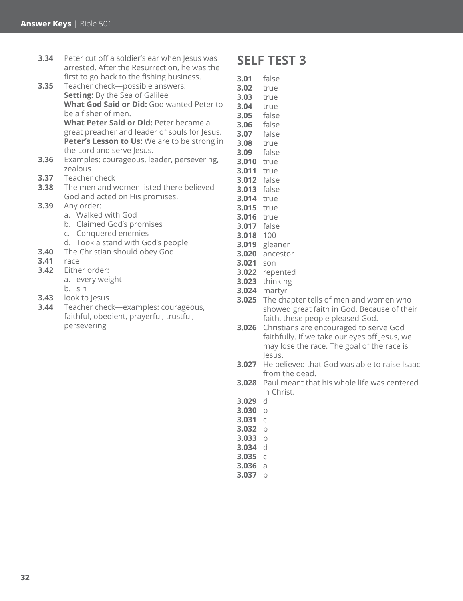- **3.34** Peter cut off a soldier's ear when Jesus was arrested. After the Resurrection, he was the first to go back to the fishing business.
- **3.35** Teacher check—possible answers: **Setting:** By the Sea of Galilee **What God Said or Did:** God wanted Peter to be a fisher of men. **What Peter Said or Did:** Peter became a great preacher and leader of souls for Jesus. **Peter's Lesson to Us:** We are to be strong in the Lord and serve Jesus.
- **3.36** Examples: courageous, leader, persevering, zealous
- **3.37** Teacher check
- **3.38** The men and women listed there believed God and acted on His promises.
- **3.39** Any order:
	- a. Walked with God
	- b. Claimed God's promises
	- c. Conquered enemies
	- d. Took a stand with God's people
- **3.40** The Christian should obey God.
- **3.41** race
- **3.42** Either order:
	- a. every weight
	- b. sin
- **3.43** look to Jesus
- **3.44** Teacher check—examples: courageous, faithful, obedient, prayerful, trustful, persevering

### **SELF TEST 3**

- **3.01** false
- **3.02** true **3.03** true
- **3.04** true
- **3.05** false
- **3.06** false
- **3.07** false
- **3.08** true
- **3.09** false
- **3.010** true **3.011** true
- **3.012** false
- **3.013** false
- **3.014** true
- **3.015** true
- **3.016** true
- **3.017** false
- **3.018** 100
- **3.019** gleaner
- **3.020** ancestor
- **3.021** son
- **3.022** repented
- **3.023** thinking
- **3.024** martyr
- 
- **3.025** The chapter tells of men and women who showed great faith in God. Because of their faith, these people pleased God.
- **3.026** Christians are encouraged to serve God faithfully. If we take our eyes off Jesus, we may lose the race. The goal of the race is Jesus.
- **3.027** He believed that God was able to raise Isaac from the dead.
- **3.028** Paul meant that his whole life was centered in Christ.
- **3.029** d
- **3.030** b
- **3.031** c
- **3.032** b
- **3.033** b **3.034** d
- **3.035** c
- **3.036** a
- **3.037** b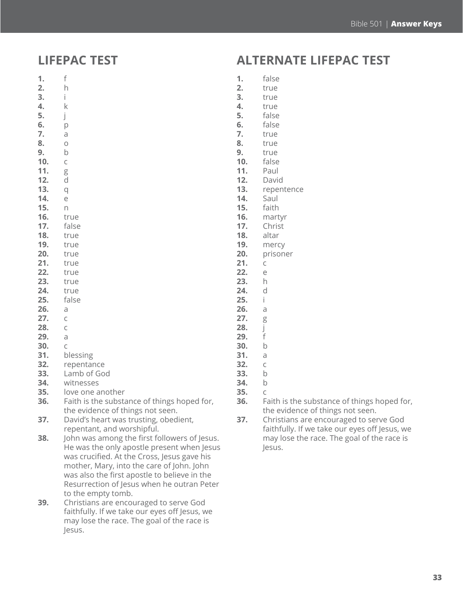### **LIFEPAC TEST**

- **1.** f **2.** h
- **3.** i
- **4.** k
- **5.** j
- **6.** p
- **7.** a **8.** o
- **9.** b
- **10.** c
- **11.** g
- **12.** d
- **13.** q
- **14.** e
- **15.** n
- **16.** true
- **17.** false **18.** true
- **19.** true
- **20.** true
- **21.** true
- **22.** true
- **23.** true
- **24.** true
- **25.** false
- **26.** a
- **27.** c
- **28.** c
- **29.** a
- **30.** c
- **31.** blessing
- **32.** repentance
- **33.** Lamb of God
- **34.** witnesses
- **35.** love one another
- **36.** Faith is the substance of things hoped for, the evidence of things not seen.
- **37.** David's heart was trusting, obedient, repentant, and worshipful.
- **38.** John was among the first followers of Jesus. He was the only apostle present when Jesus was crucified. At the Cross, Jesus gave his mother, Mary, into the care of John. John was also the first apostle to believe in the Resurrection of Jesus when he outran Peter to the empty tomb.
- **39.** Christians are encouraged to serve God faithfully. If we take our eyes off Jesus, we may lose the race. The goal of the race is Jesus.

### **ALTERNATE LIFEPAC TEST**

- **1.** false
- **2.** true
- **3.** true
- **4.** true
- **5.** false
- **6.** false
- **7.** true
- **8.** true **9.** true
- **10.** false
- **11.** Paul
- **12.** David
- **13.** repentence
- **14.** Saul
- **15.** faith
- **16.** martyr
- **17.** Christ
- **18.** altar
- **19.** mercy
- **20.** prisoner
- **21.** c
- **22.** e
- **23.** h
- **24.** d
- **25.** i
- **26.** a
- **27.** g **28.** j
- **29.** f
- **30.** b
- **31.** a
- **32.** c
- **33.** b
- **34.** b
- **35.** c
- **36.** Faith is the substance of things hoped for, the evidence of things not seen.
- **37.** Christians are encouraged to serve God faithfully. If we take our eyes off Jesus, we may lose the race. The goal of the race is Jesus.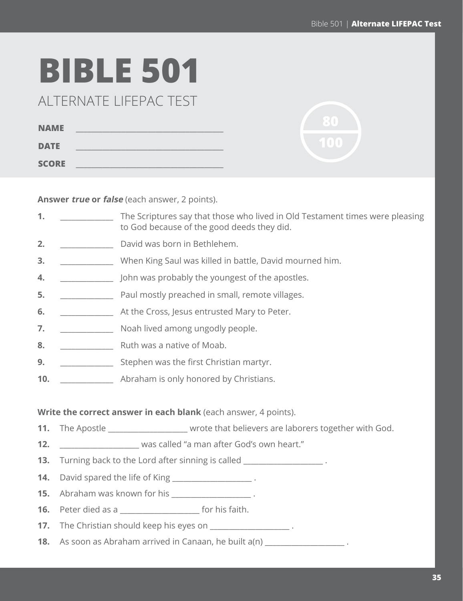## **BIBLE 501**

ALTERNATE LIFEPAC TEST

| <b>NAME</b>  |  |
|--------------|--|
| <b>DATE</b>  |  |
| <b>SCORE</b> |  |

**Answer true or false** (each answer, 2 points).

| 1.  |                                                                                                   | The Scriptures say that those who lived in Old Testament times were pleasing<br>to God because of the good deeds they did. |  |
|-----|---------------------------------------------------------------------------------------------------|----------------------------------------------------------------------------------------------------------------------------|--|
| 2.  |                                                                                                   | David was born in Bethlehem.                                                                                               |  |
| 3.  |                                                                                                   | When King Saul was killed in battle, David mourned him.                                                                    |  |
| 4.  |                                                                                                   | John was probably the youngest of the apostles.                                                                            |  |
| 5.  | and mostly preached in small, remote villages.                                                    |                                                                                                                            |  |
| 6.  | At the Cross, Jesus entrusted Mary to Peter.                                                      |                                                                                                                            |  |
| 7.  |                                                                                                   | Noah lived among ungodly people.                                                                                           |  |
| 8.  |                                                                                                   | Ruth was a native of Moab.                                                                                                 |  |
| 9.  |                                                                                                   | Stephen was the first Christian martyr.                                                                                    |  |
| 10. |                                                                                                   | Abraham is only honored by Christians.                                                                                     |  |
|     |                                                                                                   |                                                                                                                            |  |
|     |                                                                                                   | Write the correct answer in each blank (each answer, 4 points).                                                            |  |
| 11. |                                                                                                   | The Apostle _______________________ wrote that believers are laborers together with God.                                   |  |
| 12. | was called "a man after God's own heart."                                                         |                                                                                                                            |  |
| 13. | Turning back to the Lord after sinning is called Turning back to the Lord after sinning is called |                                                                                                                            |  |
| 14. | David spared the life of King ________________________.                                           |                                                                                                                            |  |
| 15. | Abraham was known for his ___________________.                                                    |                                                                                                                            |  |
| 16. |                                                                                                   | Peter died as a __________________________ for his faith.                                                                  |  |
| 17. | The Christian should keep his eyes on _____________________.                                      |                                                                                                                            |  |
| 18. | As soon as Abraham arrived in Canaan, he built a(n) ____________________.                         |                                                                                                                            |  |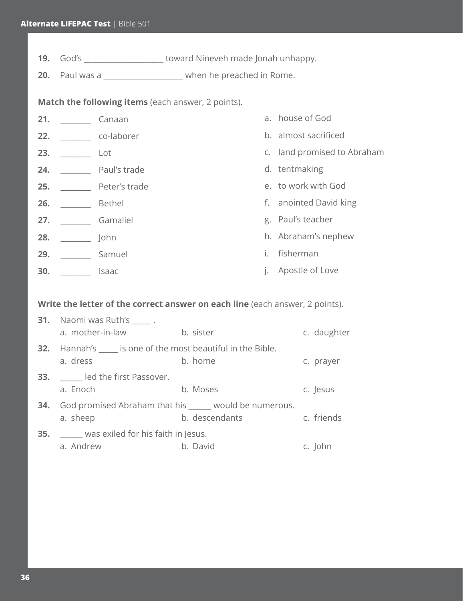**19.** God's \_\_\_\_\_\_\_\_\_\_\_\_\_\_\_\_\_\_\_\_\_ toward Nineveh made Jonah unhappy.

**20.** Paul was a \_\_\_\_\_\_\_\_\_\_\_\_\_\_\_\_\_\_\_\_\_ when he preached in Rome.

**Match the following items** (each answer, 2 points).

| 21. | Canaan        |           | a. house of God             |
|-----|---------------|-----------|-----------------------------|
| 22. | co-laborer    |           | b. almost sacrificed        |
| 23. | Lot           |           | c. land promised to Abraham |
| 24. | Paul's trade  |           | d. tentmaking               |
| 25. | Peter's trade |           | e. to work with God         |
| 26. | <b>Bethel</b> |           | f. anointed David king      |
| 27. | Gamaliel      |           | g. Paul's teacher           |
| 28. | John          |           | h. Abraham's nephew         |
| 29. | Samuel        | i.        | fisherman                   |
| 30. | Isaac         | $\vert$ . | Apostle of Love             |

**Write the letter of the correct answer on each line** (each answer, 2 points).

| <b>31.</b> Naomi was Ruth's ______.<br>a. mother-in-law                          | b. sister      | c. daughter |
|----------------------------------------------------------------------------------|----------------|-------------|
| <b>32.</b> Hannah's _____ is one of the most beautiful in the Bible.<br>a. dress | b. home        | c. prayer   |
| <b>33.</b> led the first Passover.<br>a. Enoch                                   | b. Moses       | c. Jesus    |
| <b>34.</b> God promised Abraham that his _____ would be numerous.<br>a. sheep    | b. descendants | c. friends  |
| <b>35.</b> Was exiled for his faith in Jesus.<br>a. Andrew                       | b. David       | c. John     |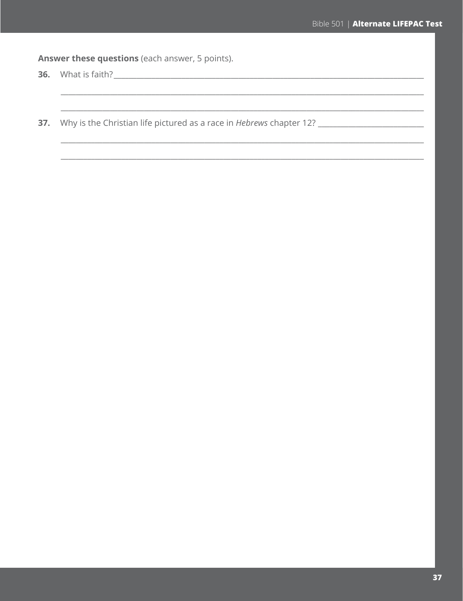Answer these questions (each answer, 5 points).

37. Why is the Christian life pictured as a race in Hebrews chapter 12? \_\_\_\_\_\_\_\_\_\_\_\_\_\_\_\_\_\_\_\_\_\_\_\_\_\_\_\_